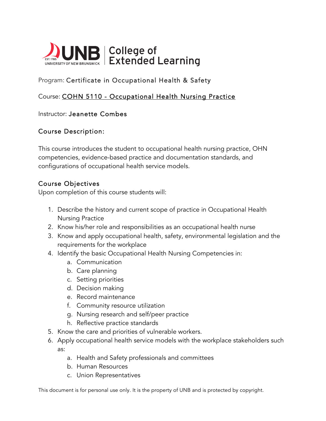

# Program: Certificate in Occupational Health & Safety

## Course: COHN 5110 - Occupational Health Nursing Practice

#### Instructor: Jeanette Combes

### Course Description:

This course introduces the student to occupational health nursing practice, OHN competencies, evidence-based practice and documentation standards, and configurations of occupational health service models.

### Course Objectives

Upon completion of this course students will:

- 1. Describe the history and current scope of practice in Occupational Health Nursing Practice
- 2. Know his/her role and responsibilities as an occupational health nurse
- 3. Know and apply occupational health, safety, environmental legislation and the requirements for the workplace
- 4. Identify the basic Occupational Health Nursing Competencies in:
	- a. Communication
	- b. Care planning
	- c. Setting priorities
	- d. Decision making
	- e. Record maintenance
	- f. Community resource utilization
	- g. Nursing research and self/peer practice
	- h. Reflective practice standards
- 5. Know the care and priorities of vulnerable workers.
- 6. Apply occupational health service models with the workplace stakeholders such as:
	- a. Health and Safety professionals and committees
	- b. Human Resources
	- c. Union Representatives

This document is for personal use only. It is the property of UNB and is protected by copyright.